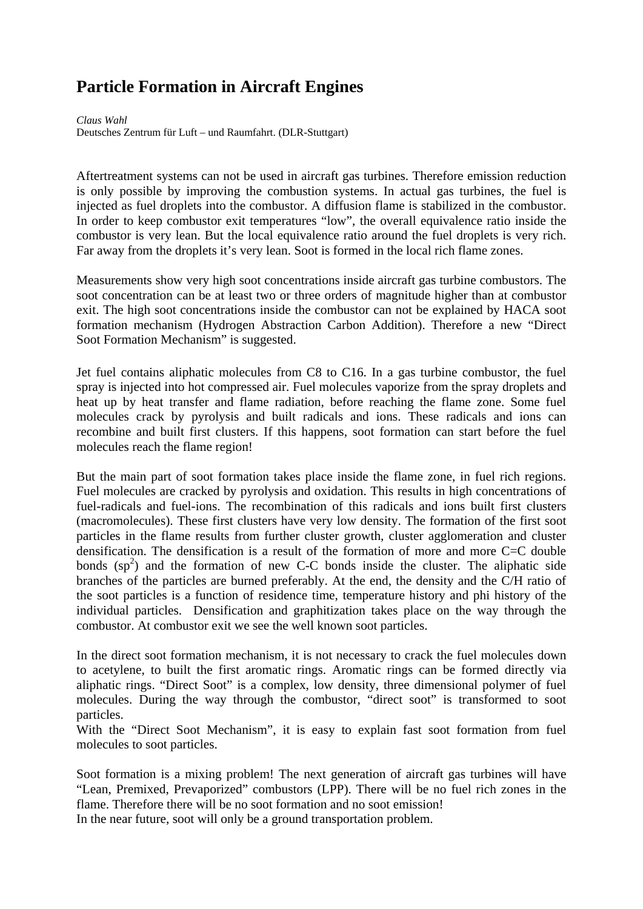# **Particle Formation in Aircraft Engines**

*Claus Wahl*  Deutsches Zentrum für Luft – und Raumfahrt. (DLR-Stuttgart)

Aftertreatment systems can not be used in aircraft gas turbines. Therefore emission reduction is only possible by improving the combustion systems. In actual gas turbines, the fuel is injected as fuel droplets into the combustor. A diffusion flame is stabilized in the combustor. In order to keep combustor exit temperatures "low", the overall equivalence ratio inside the combustor is very lean. But the local equivalence ratio around the fuel droplets is very rich. Far away from the droplets it's very lean. Soot is formed in the local rich flame zones.

Measurements show very high soot concentrations inside aircraft gas turbine combustors. The soot concentration can be at least two or three orders of magnitude higher than at combustor exit. The high soot concentrations inside the combustor can not be explained by HACA soot formation mechanism (Hydrogen Abstraction Carbon Addition). Therefore a new "Direct Soot Formation Mechanism" is suggested.

Jet fuel contains aliphatic molecules from C8 to C16. In a gas turbine combustor, the fuel spray is injected into hot compressed air. Fuel molecules vaporize from the spray droplets and heat up by heat transfer and flame radiation, before reaching the flame zone. Some fuel molecules crack by pyrolysis and built radicals and ions. These radicals and ions can recombine and built first clusters. If this happens, soot formation can start before the fuel molecules reach the flame region!

But the main part of soot formation takes place inside the flame zone, in fuel rich regions. Fuel molecules are cracked by pyrolysis and oxidation. This results in high concentrations of fuel-radicals and fuel-ions. The recombination of this radicals and ions built first clusters (macromolecules). These first clusters have very low density. The formation of the first soot particles in the flame results from further cluster growth, cluster agglomeration and cluster densification. The densification is a result of the formation of more and more  $C=C$  double bonds  $(sp<sup>2</sup>)$  and the formation of new C-C bonds inside the cluster. The aliphatic side branches of the particles are burned preferably. At the end, the density and the C/H ratio of the soot particles is a function of residence time, temperature history and phi history of the individual particles. Densification and graphitization takes place on the way through the combustor. At combustor exit we see the well known soot particles.

In the direct soot formation mechanism, it is not necessary to crack the fuel molecules down to acetylene, to built the first aromatic rings. Aromatic rings can be formed directly via aliphatic rings. "Direct Soot" is a complex, low density, three dimensional polymer of fuel molecules. During the way through the combustor, "direct soot" is transformed to soot particles.

With the "Direct Soot Mechanism", it is easy to explain fast soot formation from fuel molecules to soot particles.

Soot formation is a mixing problem! The next generation of aircraft gas turbines will have "Lean, Premixed, Prevaporized" combustors (LPP). There will be no fuel rich zones in the flame. Therefore there will be no soot formation and no soot emission!

In the near future, soot will only be a ground transportation problem.